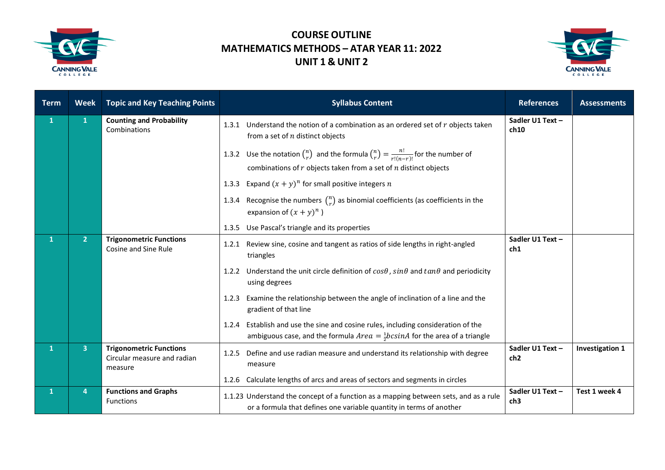

## **COURSE OUTLINE MATHEMATICS METHODS – ATAR YEAR 11: 2022 UNIT 1 & UNIT 2**



| <b>Term</b>  | <b>Week</b>    | <b>Topic and Key Teaching Points</b>                                     | <b>Syllabus Content</b>                                                                                                                                                              | <b>References</b>                   | <b>Assessments</b>     |
|--------------|----------------|--------------------------------------------------------------------------|--------------------------------------------------------------------------------------------------------------------------------------------------------------------------------------|-------------------------------------|------------------------|
| $\mathbf{1}$ | $\mathbf{1}$   | <b>Counting and Probability</b><br>Combinations                          | Understand the notion of a combination as an ordered set of $r$ objects taken<br>1.3.1<br>from a set of $n$ distinct objects                                                         | Sadler U1 Text -<br>ch10            |                        |
|              |                |                                                                          | 1.3.2 Use the notation $\binom{n}{r}$ and the formula $\binom{n}{r} = \frac{n!}{r!(n-r)!}$ for the number of<br>combinations of $r$ objects taken from a set of $n$ distinct objects |                                     |                        |
|              |                |                                                                          | Expand $(x + y)^n$ for small positive integers n<br>1.3.3                                                                                                                            |                                     |                        |
|              |                |                                                                          | 1.3.4 Recognise the numbers $\binom{n}{r}$ as binomial coefficients (as coefficients in the<br>expansion of $(x + y)^n$ )                                                            |                                     |                        |
|              |                |                                                                          | 1.3.5 Use Pascal's triangle and its properties                                                                                                                                       |                                     |                        |
| $\mathbf{1}$ | 2 <sup>1</sup> | <b>Trigonometric Functions</b><br><b>Cosine and Sine Rule</b>            | Review sine, cosine and tangent as ratios of side lengths in right-angled<br>1.2.1<br>triangles                                                                                      | Sadler U1 Text -<br>ch1             |                        |
|              |                |                                                                          | Understand the unit circle definition of $cos\theta$ , $sin\theta$ and $tan\theta$ and periodicity<br>1.2.2<br>using degrees                                                         |                                     |                        |
|              |                |                                                                          | Examine the relationship between the angle of inclination of a line and the<br>1.2.3<br>gradient of that line                                                                        |                                     |                        |
|              |                |                                                                          | Establish and use the sine and cosine rules, including consideration of the<br>1.2.4<br>ambiguous case, and the formula $Area = \frac{1}{2}bcsinA$ for the area of a triangle        |                                     |                        |
| $\mathbf{1}$ | 3              | <b>Trigonometric Functions</b><br>Circular measure and radian<br>measure | Define and use radian measure and understand its relationship with degree<br>1.2.5<br>measure                                                                                        | Sadler U1 Text -<br>ch <sub>2</sub> | <b>Investigation 1</b> |
|              |                |                                                                          | Calculate lengths of arcs and areas of sectors and segments in circles<br>1.2.6                                                                                                      |                                     |                        |
| $\mathbf{1}$ | 4              | <b>Functions and Graphs</b><br><b>Functions</b>                          | 1.1.23 Understand the concept of a function as a mapping between sets, and as a rule<br>or a formula that defines one variable quantity in terms of another                          | Sadler U1 Text -<br>ch3             | Test 1 week 4          |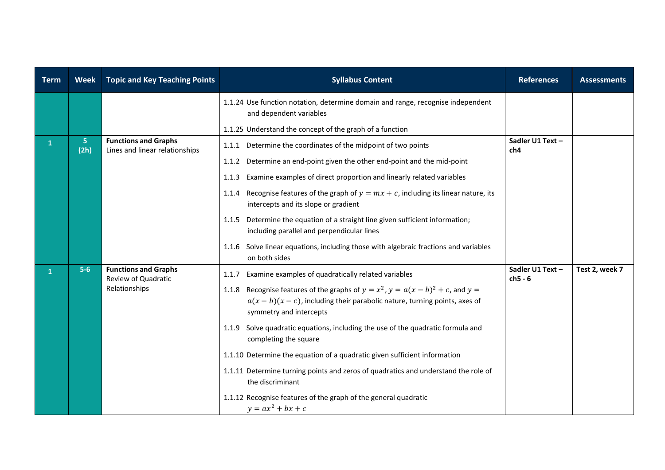| <b>Term</b>  | <b>Week</b> | <b>Topic and Key Teaching Points</b>                                | <b>Syllabus Content</b>                                                                                                                                                                                                                                                                                                                                                                                                                                                                                                                                                                                                                                                          | <b>References</b>             | <b>Assessments</b> |
|--------------|-------------|---------------------------------------------------------------------|----------------------------------------------------------------------------------------------------------------------------------------------------------------------------------------------------------------------------------------------------------------------------------------------------------------------------------------------------------------------------------------------------------------------------------------------------------------------------------------------------------------------------------------------------------------------------------------------------------------------------------------------------------------------------------|-------------------------------|--------------------|
|              |             |                                                                     | 1.1.24 Use function notation, determine domain and range, recognise independent<br>and dependent variables<br>1.1.25 Understand the concept of the graph of a function                                                                                                                                                                                                                                                                                                                                                                                                                                                                                                           |                               |                    |
| $\mathbf{1}$ | 5<br>(2h)   | <b>Functions and Graphs</b><br>Lines and linear relationships       | 1.1.1 Determine the coordinates of the midpoint of two points<br>Determine an end-point given the other end-point and the mid-point<br>1.1.2<br>Examine examples of direct proportion and linearly related variables<br>1.1.3<br>Recognise features of the graph of $y = mx + c$ , including its linear nature, its<br>1.1.4<br>intercepts and its slope or gradient<br>1.1.5 Determine the equation of a straight line given sufficient information;<br>including parallel and perpendicular lines<br>1.1.6 Solve linear equations, including those with algebraic fractions and variables                                                                                      | Sadler U1 Text -<br>ch4       |                    |
| 1            | $5-6$       | <b>Functions and Graphs</b><br>Review of Quadratic<br>Relationships | on both sides<br>Examine examples of quadratically related variables<br>1.1.7<br>1.1.8 Recognise features of the graphs of $y = x^2$ , $y = a(x - b)^2 + c$ , and $y =$<br>$a(x - b)(x - c)$ , including their parabolic nature, turning points, axes of<br>symmetry and intercepts<br>1.1.9 Solve quadratic equations, including the use of the quadratic formula and<br>completing the square<br>1.1.10 Determine the equation of a quadratic given sufficient information<br>1.1.11 Determine turning points and zeros of quadratics and understand the role of<br>the discriminant<br>1.1.12 Recognise features of the graph of the general quadratic<br>$y = ax^2 + bx + c$ | Sadler U1 Text -<br>$ch5 - 6$ | Test 2, week 7     |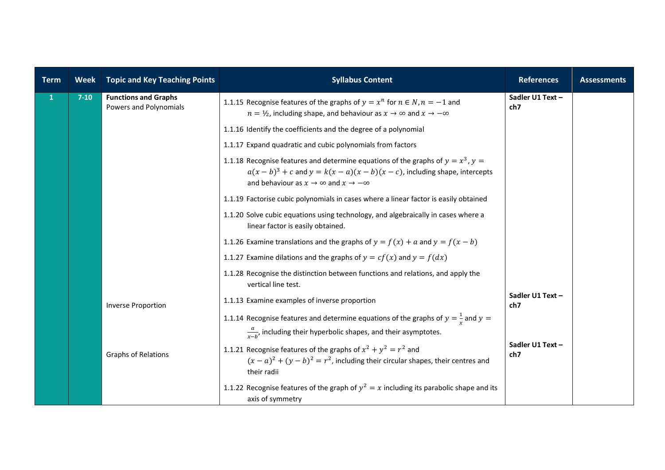| <b>Term</b>  | <b>Week</b> | <b>Topic and Key Teaching Points</b>                  | <b>Syllabus Content</b>                                                                                                                                                                                                        | <b>References</b>       | <b>Assessments</b> |
|--------------|-------------|-------------------------------------------------------|--------------------------------------------------------------------------------------------------------------------------------------------------------------------------------------------------------------------------------|-------------------------|--------------------|
| $\mathbf{1}$ | $7-10$      | <b>Functions and Graphs</b><br>Powers and Polynomials | 1.1.15 Recognise features of the graphs of $y = x^n$ for $n \in N$ , $n = -1$ and<br>$n = \frac{1}{2}$ , including shape, and behaviour as $x \to \infty$ and $x \to -\infty$                                                  | Sadler U1 Text -<br>ch7 |                    |
|              |             |                                                       | 1.1.16 Identify the coefficients and the degree of a polynomial                                                                                                                                                                |                         |                    |
|              |             |                                                       | 1.1.17 Expand quadratic and cubic polynomials from factors                                                                                                                                                                     |                         |                    |
|              |             |                                                       | 1.1.18 Recognise features and determine equations of the graphs of $y = x^3$ , $y =$<br>$a(x - b)^3 + c$ and $y = k(x - a)(x - b)(x - c)$ , including shape, intercepts<br>and behaviour as $x \to \infty$ and $x \to -\infty$ |                         |                    |
|              |             |                                                       | 1.1.19 Factorise cubic polynomials in cases where a linear factor is easily obtained                                                                                                                                           |                         |                    |
|              |             |                                                       | 1.1.20 Solve cubic equations using technology, and algebraically in cases where a<br>linear factor is easily obtained.                                                                                                         |                         |                    |
|              |             |                                                       | 1.1.26 Examine translations and the graphs of $y = f(x) + a$ and $y = f(x - b)$                                                                                                                                                |                         |                    |
|              |             |                                                       | 1.1.27 Examine dilations and the graphs of $y = cf(x)$ and $y = f(dx)$                                                                                                                                                         |                         |                    |
|              |             |                                                       | 1.1.28 Recognise the distinction between functions and relations, and apply the<br>vertical line test.                                                                                                                         |                         |                    |
|              |             | <b>Inverse Proportion</b>                             | 1.1.13 Examine examples of inverse proportion                                                                                                                                                                                  | Sadler U1 Text -<br>ch7 |                    |
|              |             |                                                       | 1.1.14 Recognise features and determine equations of the graphs of $y = \frac{1}{x}$ and $y =$<br>$\frac{a}{r-b}$ , including their hyperbolic shapes, and their asymptotes.                                                   |                         |                    |
|              |             | Graphs of Relations                                   | 1.1.21 Recognise features of the graphs of $x^2 + y^2 = r^2$ and<br>$(x-a)^2 + (y-b)^2 = r^2$ , including their circular shapes, their centres and<br>their radii                                                              | Sadler U1 Text -<br>ch7 |                    |
|              |             |                                                       | 1.1.22 Recognise features of the graph of $y^2 = x$ including its parabolic shape and its<br>axis of symmetry                                                                                                                  |                         |                    |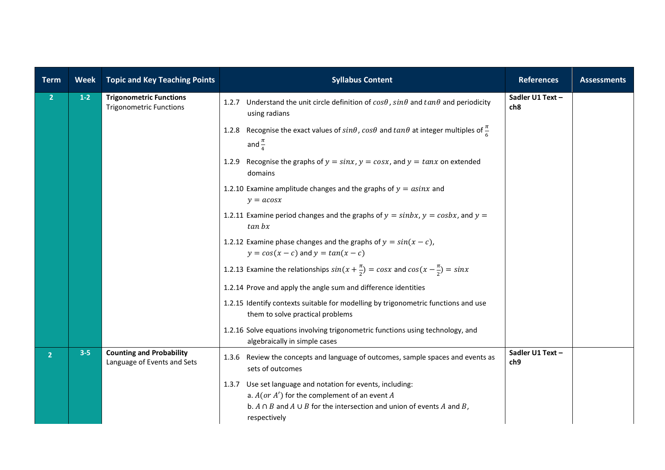| <b>Term</b>    | <b>Week</b> | <b>Topic and Key Teaching Points</b>                             | <b>Syllabus Content</b>                                                                                                                                                                                               | <b>References</b>       | <b>Assessments</b> |
|----------------|-------------|------------------------------------------------------------------|-----------------------------------------------------------------------------------------------------------------------------------------------------------------------------------------------------------------------|-------------------------|--------------------|
| 2 <sup>1</sup> | $1-2$       | <b>Trigonometric Functions</b><br><b>Trigonometric Functions</b> | 1.2.7 Understand the unit circle definition of $cos\theta$ , $sin\theta$ and $tan\theta$ and periodicity<br>using radians                                                                                             | Sadler U1 Text-<br>ch8  |                    |
|                |             |                                                                  | 1.2.8 Recognise the exact values of $sin\theta$ , $cos\theta$ and $tan\theta$ at integer multiples of $\frac{\pi}{6}$<br>and $\frac{\pi}{4}$                                                                          |                         |                    |
|                |             |                                                                  | Recognise the graphs of $y = sinx$ , $y = cosx$ , and $y = tanx$ on extended<br>1.2.9<br>domains                                                                                                                      |                         |                    |
|                |             |                                                                  | 1.2.10 Examine amplitude changes and the graphs of $y = \alpha sinx$ and<br>$y = a \cos x$                                                                                                                            |                         |                    |
|                |             |                                                                  | 1.2.11 Examine period changes and the graphs of $y = \sin bx$ , $y = \cosh x$ , and $y = \sinh x$<br>$tan\ bx$                                                                                                        |                         |                    |
|                |             |                                                                  | 1.2.12 Examine phase changes and the graphs of $y = sin(x - c)$ ,<br>$y = cos(x - c)$ and $y = tan(x - c)$                                                                                                            |                         |                    |
|                |             |                                                                  | 1.2.13 Examine the relationships $sin(x + \frac{\pi}{2}) = cosx$ and $cos(x - \frac{\pi}{2}) = sinx$                                                                                                                  |                         |                    |
|                |             |                                                                  | 1.2.14 Prove and apply the angle sum and difference identities                                                                                                                                                        |                         |                    |
|                |             |                                                                  | 1.2.15 Identify contexts suitable for modelling by trigonometric functions and use<br>them to solve practical problems                                                                                                |                         |                    |
|                |             |                                                                  | 1.2.16 Solve equations involving trigonometric functions using technology, and<br>algebraically in simple cases                                                                                                       |                         |                    |
| 2 <sup>1</sup> | $3 - 5$     | <b>Counting and Probability</b><br>Language of Events and Sets   | Review the concepts and language of outcomes, sample spaces and events as<br>1.3.6<br>sets of outcomes                                                                                                                | Sadler U1 Text -<br>ch9 |                    |
|                |             |                                                                  | Use set language and notation for events, including:<br>1.3.7<br>a. $A$ (or $A'$ ) for the complement of an event A<br>b. $A \cap B$ and $A \cup B$ for the intersection and union of events A and B,<br>respectively |                         |                    |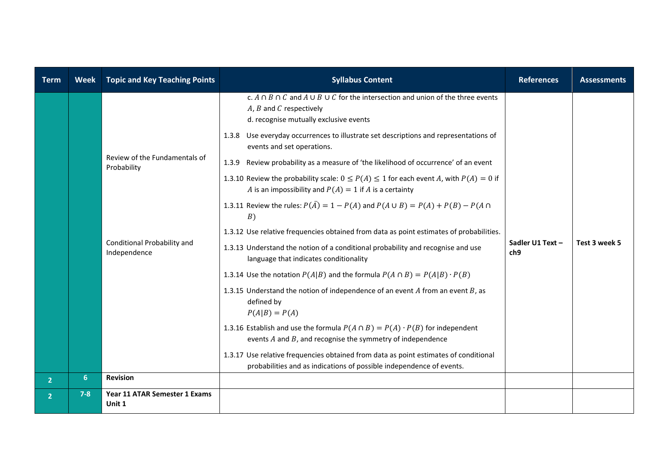| <b>Term</b>    | <b>Week</b>    | <b>Topic and Key Teaching Points</b>         | <b>Syllabus Content</b>                                                                                                                                                                                                                                                                      | <b>References</b>                   | <b>Assessments</b> |
|----------------|----------------|----------------------------------------------|----------------------------------------------------------------------------------------------------------------------------------------------------------------------------------------------------------------------------------------------------------------------------------------------|-------------------------------------|--------------------|
|                |                |                                              | c. $A \cap B \cap C$ and $A \cup B \cup C$ for the intersection and union of the three events<br>$A, B$ and $C$ respectively<br>d. recognise mutually exclusive events<br>1.3.8 Use everyday occurrences to illustrate set descriptions and representations of<br>events and set operations. |                                     |                    |
|                |                | Review of the Fundamentals of<br>Probability | 1.3.9 Review probability as a measure of 'the likelihood of occurrence' of an event<br>1.3.10 Review the probability scale: $0 \le P(A) \le 1$ for each event A, with $P(A) = 0$ if<br>A is an impossibility and $P(A) = 1$ if A is a certainty                                              |                                     |                    |
|                |                |                                              | 1.3.11 Review the rules: $P(\bar{A}) = 1 - P(A)$ and $P(A \cup B) = P(A) + P(B) - P(A \cap B)$<br>B)                                                                                                                                                                                         |                                     |                    |
|                |                |                                              | 1.3.12 Use relative frequencies obtained from data as point estimates of probabilities.                                                                                                                                                                                                      |                                     |                    |
|                |                | Conditional Probability and<br>Independence  | 1.3.13 Understand the notion of a conditional probability and recognise and use<br>language that indicates conditionality                                                                                                                                                                    | Sadler U1 Text -<br>ch <sub>9</sub> | Test 3 week 5      |
|                |                |                                              | 1.3.14 Use the notation $P(A B)$ and the formula $P(A \cap B) = P(A B) \cdot P(B)$                                                                                                                                                                                                           |                                     |                    |
|                |                |                                              | 1.3.15 Understand the notion of independence of an event $A$ from an event $B$ , as<br>defined by<br>$P(A B) = P(A)$                                                                                                                                                                         |                                     |                    |
|                |                |                                              | 1.3.16 Establish and use the formula $P(A \cap B) = P(A) \cdot P(B)$ for independent<br>events $A$ and $B$ , and recognise the symmetry of independence                                                                                                                                      |                                     |                    |
|                |                |                                              | 1.3.17 Use relative frequencies obtained from data as point estimates of conditional<br>probabilities and as indications of possible independence of events.                                                                                                                                 |                                     |                    |
| 2 <sup>1</sup> | 6 <sup>1</sup> | <b>Revision</b>                              |                                                                                                                                                                                                                                                                                              |                                     |                    |
| $\overline{2}$ | $7 - 8$        | Year 11 ATAR Semester 1 Exams<br>Unit 1      |                                                                                                                                                                                                                                                                                              |                                     |                    |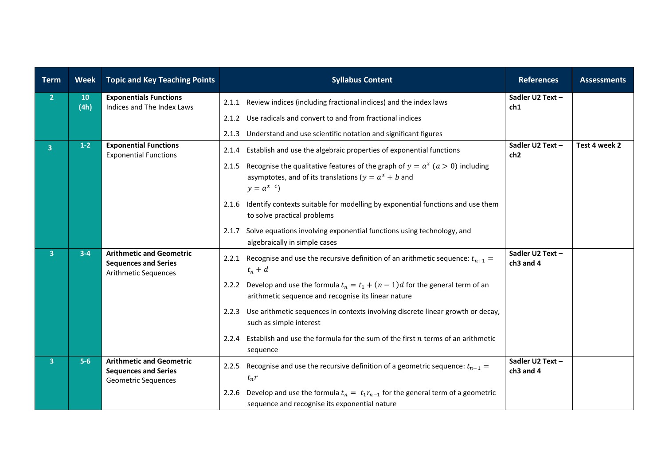| <b>Term</b>    | <b>Week</b> | <b>Topic and Key Teaching Points</b>                                                          | <b>Syllabus Content</b>                                                                                                                                                 | <b>References</b>                         | <b>Assessments</b> |
|----------------|-------------|-----------------------------------------------------------------------------------------------|-------------------------------------------------------------------------------------------------------------------------------------------------------------------------|-------------------------------------------|--------------------|
| 2 <sub>1</sub> | 10<br>(4h)  | <b>Exponentials Functions</b><br>Indices and The Index Laws                                   | 2.1.1 Review indices (including fractional indices) and the index laws                                                                                                  | Sadler U2 Text-<br>ch1                    |                    |
|                |             |                                                                                               | Use radicals and convert to and from fractional indices<br>2.1.2                                                                                                        |                                           |                    |
|                |             |                                                                                               | Understand and use scientific notation and significant figures<br>2.1.3                                                                                                 |                                           |                    |
| $\overline{3}$ | $1-2$       | <b>Exponential Functions</b><br><b>Exponential Functions</b>                                  | Establish and use the algebraic properties of exponential functions<br>2.1.4                                                                                            | Sadler U2 Text -<br>ch <sub>2</sub>       | Test 4 week 2      |
|                |             |                                                                                               | Recognise the qualitative features of the graph of $y = a^x$ ( $a > 0$ ) including<br>2.1.5<br>asymptotes, and of its translations ( $y = a^x + b$ and<br>$y = a^{x-c}$ |                                           |                    |
|                |             |                                                                                               | 2.1.6 Identify contexts suitable for modelling by exponential functions and use them<br>to solve practical problems                                                     |                                           |                    |
|                |             |                                                                                               | Solve equations involving exponential functions using technology, and<br>2.1.7<br>algebraically in simple cases                                                         |                                           |                    |
| 3 <sup>°</sup> | $3-4$       | <b>Arithmetic and Geometric</b><br><b>Sequences and Series</b><br><b>Arithmetic Sequences</b> | 2.2.1 Recognise and use the recursive definition of an arithmetic sequence: $t_{n+1}$ =<br>$t_n + d$                                                                    | Sadler U2 Text -<br>ch <sub>3</sub> and 4 |                    |
|                |             |                                                                                               | 2.2.2 Develop and use the formula $t_n = t_1 + (n-1)d$ for the general term of an<br>arithmetic sequence and recognise its linear nature                                |                                           |                    |
|                |             |                                                                                               | Use arithmetic sequences in contexts involving discrete linear growth or decay,<br>2.2.3<br>such as simple interest                                                     |                                           |                    |
|                |             |                                                                                               | Establish and use the formula for the sum of the first $n$ terms of an arithmetic<br>2.2.4<br>sequence                                                                  |                                           |                    |
| 3 <sup>1</sup> | $5-6$       | <b>Arithmetic and Geometric</b><br><b>Sequences and Series</b><br>Geometric Sequences         | Recognise and use the recursive definition of a geometric sequence: $t_{n+1}$ =<br>2.2.5<br>$t_n r$                                                                     | Sadler U2 Text -<br>ch3 and 4             |                    |
|                |             |                                                                                               | 2.2.6 Develop and use the formula $t_n = t_1 r_{n-1}$ for the general term of a geometric<br>sequence and recognise its exponential nature                              |                                           |                    |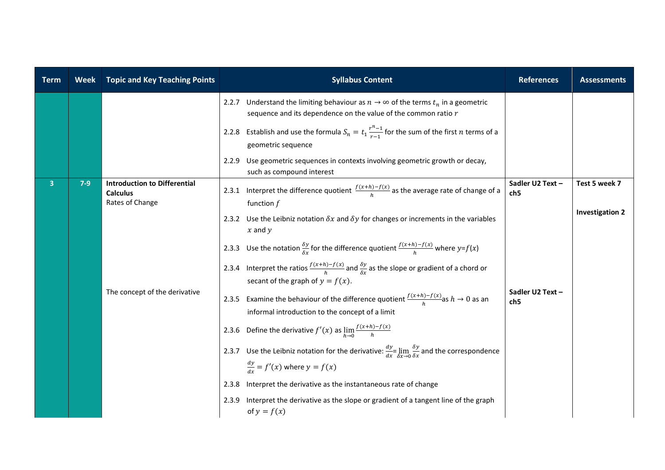| <b>Term</b>    | <b>Week</b> | <b>Topic and Key Teaching Points</b>                                         | <b>Syllabus Content</b>                                                                                                                                          | <b>References</b>                   | <b>Assessments</b>     |
|----------------|-------------|------------------------------------------------------------------------------|------------------------------------------------------------------------------------------------------------------------------------------------------------------|-------------------------------------|------------------------|
|                |             |                                                                              | Understand the limiting behaviour as $n \to \infty$ of the terms $t_n$ in a geometric<br>2.2.7<br>sequence and its dependence on the value of the common ratio r |                                     |                        |
|                |             |                                                                              | 2.2.8 Establish and use the formula $S_n = t_1 \frac{r^{n-1}}{r-1}$ for the sum of the first <i>n</i> terms of a<br>geometric sequence                           |                                     |                        |
|                |             |                                                                              | Use geometric sequences in contexts involving geometric growth or decay,<br>2.2.9<br>such as compound interest                                                   |                                     |                        |
| $\overline{3}$ | $7-9$       | <b>Introduction to Differential</b><br><b>Calculus</b><br>Rates of Change    | 2.3.1 Interpret the difference quotient $\frac{f(x+h)-f(x)}{h}$ as the average rate of change of a<br>function $f$                                               | Sadler U2 Text-<br>ch5              | Test 5 week 7          |
|                |             |                                                                              | 2.3.2 Use the Leibniz notation $\delta x$ and $\delta y$ for changes or increments in the variables<br>$x$ and $y$                                               |                                     | <b>Investigation 2</b> |
|                |             |                                                                              | 2.3.3 Use the notation $\frac{\delta y}{\delta x}$ for the difference quotient $\frac{f(x+h)-f(x)}{h}$ where $y=f(x)$                                            |                                     |                        |
|                |             |                                                                              | 2.3.4 Interpret the ratios $\frac{f(x+h)-f(x)}{h}$ and $\frac{\delta y}{\delta x}$ as the slope or gradient of a chord or<br>secant of the graph of $y = f(x)$ . |                                     |                        |
|                |             | The concept of the derivative                                                | 2.3.5 Examine the behaviour of the difference quotient $\frac{f(x+h)-f(x)}{h}$ as $h \to 0$ as an<br>informal introduction to the concept of a limit             | Sadler U2 Text -<br>ch <sub>5</sub> |                        |
|                |             | 2.3.6 Define the derivative $f'(x)$ as $\lim_{h\to 0} \frac{f(x+h)-f(x)}{h}$ |                                                                                                                                                                  |                                     |                        |
|                |             |                                                                              | 2.3.7 Use the Leibniz notation for the derivative: $\frac{dy}{dx} = \lim_{\delta x \to 0} \frac{\delta y}{\delta x}$ and the correspondence                      |                                     |                        |
|                |             |                                                                              | $\frac{dy}{dx} = f'(x)$ where $y = f(x)$                                                                                                                         |                                     |                        |
|                |             |                                                                              | Interpret the derivative as the instantaneous rate of change<br>2.3.8                                                                                            |                                     |                        |
|                |             |                                                                              | 2.3.9 Interpret the derivative as the slope or gradient of a tangent line of the graph<br>of $y = f(x)$                                                          |                                     |                        |